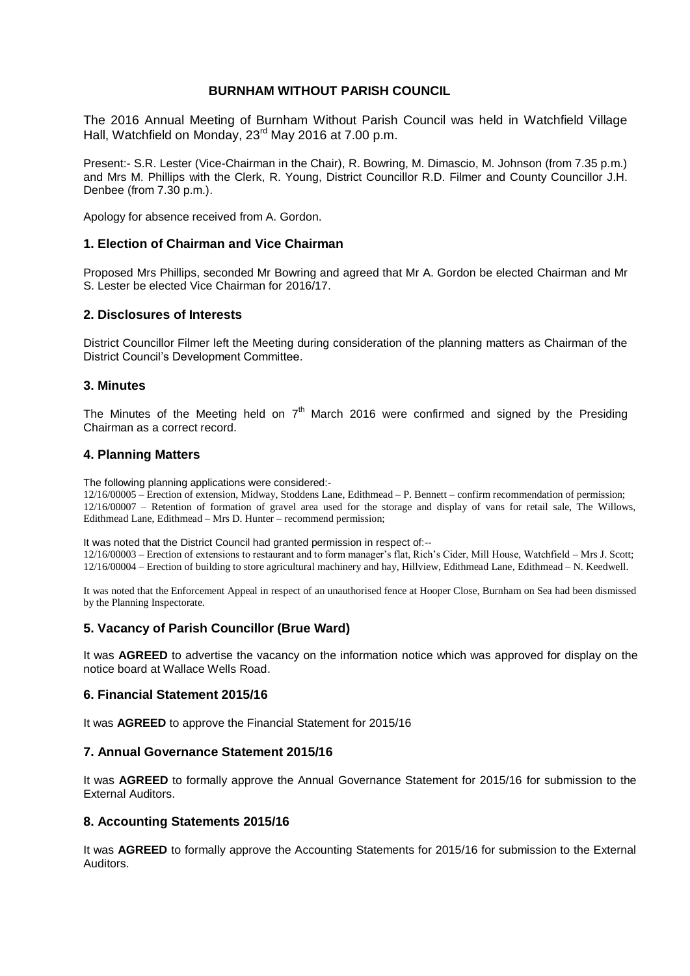## **BURNHAM WITHOUT PARISH COUNCIL**

The 2016 Annual Meeting of Burnham Without Parish Council was held in Watchfield Village Hall, Watchfield on Monday, 23rd May 2016 at 7.00 p.m.

Present:- S.R. Lester (Vice-Chairman in the Chair), R. Bowring, M. Dimascio, M. Johnson (from 7.35 p.m.) and Mrs M. Phillips with the Clerk, R. Young, District Councillor R.D. Filmer and County Councillor J.H. Denbee (from 7.30 p.m.).

Apology for absence received from A. Gordon.

### **1. Election of Chairman and Vice Chairman**

Proposed Mrs Phillips, seconded Mr Bowring and agreed that Mr A. Gordon be elected Chairman and Mr S. Lester be elected Vice Chairman for 2016/17.

### **2. Disclosures of Interests**

District Councillor Filmer left the Meeting during consideration of the planning matters as Chairman of the District Council's Development Committee.

### **3. Minutes**

The Minutes of the Meeting held on  $7<sup>th</sup>$  March 2016 were confirmed and signed by the Presiding Chairman as a correct record.

### **4. Planning Matters**

The following planning applications were considered:-

12/16/00005 – Erection of extension, Midway, Stoddens Lane, Edithmead – P. Bennett – confirm recommendation of permission; 12/16/00007 – Retention of formation of gravel area used for the storage and display of vans for retail sale, The Willows, Edithmead Lane, Edithmead – Mrs D. Hunter – recommend permission;

It was noted that the District Council had granted permission in respect of:--

12/16/00003 – Erection of extensions to restaurant and to form manager's flat, Rich's Cider, Mill House, Watchfield – Mrs J. Scott; 12/16/00004 – Erection of building to store agricultural machinery and hay, Hillview, Edithmead Lane, Edithmead – N. Keedwell.

It was noted that the Enforcement Appeal in respect of an unauthorised fence at Hooper Close, Burnham on Sea had been dismissed by the Planning Inspectorate.

## **5. Vacancy of Parish Councillor (Brue Ward)**

It was **AGREED** to advertise the vacancy on the information notice which was approved for display on the notice board at Wallace Wells Road.

### **6. Financial Statement 2015/16**

It was **AGREED** to approve the Financial Statement for 2015/16

### **7. Annual Governance Statement 2015/16**

It was **AGREED** to formally approve the Annual Governance Statement for 2015/16 for submission to the External Auditors.

### **8. Accounting Statements 2015/16**

It was **AGREED** to formally approve the Accounting Statements for 2015/16 for submission to the External **Auditors**